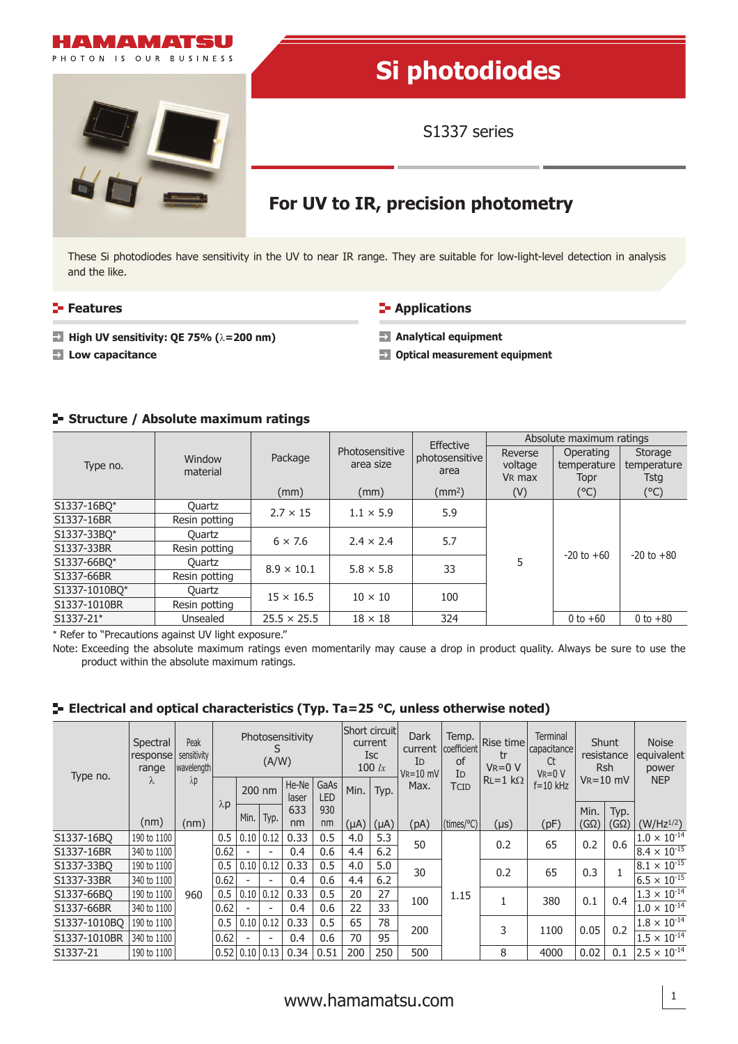

# **Si photodiodes**

S1337 series

## **For UV to IR, precision photometry**

These Si photodiodes have sensitivity in the UV to near IR range. They are suitable for low-light-level detection in analysis and the like.

### **Features Applications Applications**

**High UV sensitivity: QE 75%** (λ=200 nm) **Analytical equipment** 

**Low capacitance Constitute and Constitute and Constitute and Constitute and Constitute and Constitute and Constitute and Constitute and Constitute and Constitute and Constitute and Constitute and Constitute and Constitu** 

#### **Structure / Absolute maximum ratings**

|               |                    |                    |                             | Effective              | Absolute maximum ratings                 |                                  |                                |  |  |
|---------------|--------------------|--------------------|-----------------------------|------------------------|------------------------------------------|----------------------------------|--------------------------------|--|--|
| Type no.      | Window<br>material | Package            | Photosensitive<br>area size | photosensitive<br>area | Reverse<br>voltage<br>V <sub>R</sub> max | Operating<br>temperature<br>Topr | Storage<br>temperature<br>Tsta |  |  |
|               |                    | (mm)               | (mm)                        | (mm <sup>2</sup> )     | (V)                                      | (°C)                             | $(^{\circ}C)$                  |  |  |
| S1337-16BO*   | Quartz             | $2.7 \times 15$    | $1.1 \times 5.9$            | 5.9                    |                                          |                                  | $-20$ to $+80$                 |  |  |
| S1337-16BR    | Resin potting      |                    |                             |                        |                                          |                                  |                                |  |  |
| S1337-33BO*   | Quartz             | $6 \times 7.6$     | $2.4 \times 2.4$            | 5.7                    |                                          |                                  |                                |  |  |
| S1337-33BR    | Resin potting      |                    |                             |                        |                                          | $-20$ to $+60$                   |                                |  |  |
| S1337-66BO*   | Quartz             | $8.9 \times 10.1$  | $5.8 \times 5.8$            | 33                     | 5                                        |                                  |                                |  |  |
| S1337-66BR    | Resin potting      |                    |                             |                        |                                          |                                  |                                |  |  |
| S1337-1010BO* | Quartz             | $15 \times 16.5$   | $10 \times 10$              | 100                    |                                          |                                  |                                |  |  |
| S1337-1010BR  | Resin potting      |                    |                             |                        |                                          |                                  |                                |  |  |
| S1337-21*     | Unsealed           | $25.5 \times 25.5$ | $18 \times 18$              | 324                    |                                          | 0 to $+60$                       | 0 to $+80$                     |  |  |

\* Refer to "Precautions against UV light exposure."

Note: Exceeding the absolute maximum ratings even momentarily may cause a drop in product quality. Always be sure to use the product within the absolute maximum ratings.

| Type no.     | Spectral<br>response<br>range<br>$\lambda$ | Peak<br>sensitivity<br>  wavelength  <br>λp | Photosensitivity<br>S<br>(A/W) |                          |                                                        |                | Short circuit <br>current<br><b>Isc</b><br>100 $lx$ |           | Dark<br>current  <br>ID<br>$V = 10$ mV | Temp.<br>coefficient<br>οf<br>ID | Rise time<br>tr<br>$V_R = 0 V$ | <b>Terminal</b><br>capacitance<br>Ct<br>$V_R = 0 V$ | <b>Shunt</b><br>resistance<br><b>Rsh</b> |             | <b>Noise</b><br>equivalent<br>power |                       |
|--------------|--------------------------------------------|---------------------------------------------|--------------------------------|--------------------------|--------------------------------------------------------|----------------|-----------------------------------------------------|-----------|----------------------------------------|----------------------------------|--------------------------------|-----------------------------------------------------|------------------------------------------|-------------|-------------------------------------|-----------------------|
|              |                                            |                                             |                                |                          | 200 nm                                                 | He-Ne<br>laser | GaAs<br><b>LED</b>                                  | Min.      | Typ.                                   | <b>TCID</b><br>Max.              | $RL = 1$ kΩ                    | $f = 10$ kHz                                        | $V_R = 10$ mV                            |             | <b>NEP</b>                          |                       |
|              |                                            |                                             | $\lambda$ p                    | Min.                     | Typ.                                                   | 633            | 930                                                 |           |                                        |                                  |                                |                                                     |                                          | Min.        | Typ.                                |                       |
|              | (nm)                                       | (nm)                                        |                                |                          |                                                        | nm             | nm                                                  | $(\mu A)$ | $(\mu A)$                              | (pA)                             | $(times/{}^{\circ}C)$          | $(\mu s)$                                           | (pF)                                     | $(G\Omega)$ | (GΩ)                                | $(W/Hz^{1/2})$        |
| S1337-16BO   | 190 to 1100                                | 960                                         |                                |                          | 0.12<br>0.5<br>0.10<br>0.33<br>0.5<br>4.0<br>5.3<br>50 |                | 0.2                                                 | 65        | 0.2                                    | 0.6                              | $1.0 \times 10^{-14}$          |                                                     |                                          |             |                                     |                       |
| S1337-16BR   | 340 to 1100                                |                                             | 0.62                           |                          |                                                        | 0.4            | 0.6                                                 | 4.4       | 6.2                                    |                                  |                                |                                                     |                                          |             |                                     | $8.4 \times 10^{-15}$ |
| S1337-33BO   | 190 to 1100                                |                                             | 0.5                            | 0.10   0.12              |                                                        | 0.33           | 0.5                                                 | 4.0       | 5.0                                    | 30                               |                                | 0.2                                                 | 65                                       | 0.3         |                                     | $8.1 \times 10^{-15}$ |
| S1337-33BR   | 340 to 1100                                |                                             | 0.62                           |                          |                                                        | 0.4            | 0.6                                                 | 4.4       | 6.2                                    |                                  |                                |                                                     |                                          |             |                                     | $6.5 \times 10^{-15}$ |
| S1337-66BO   | 190 to 1100                                |                                             | 0.5                            | 0.10                     | 0.12                                                   | 0.33           | 0.5                                                 | 20        | 27                                     | 1.15<br>100<br>200               |                                |                                                     | 380                                      | 0.1         | 0.4                                 | $1.3 \times 10^{-14}$ |
| S1337-66BR   | 340 to 1100                                |                                             | 0.62                           |                          |                                                        | 0.4            | 0.6                                                 | 22        | 33                                     |                                  |                                |                                                     |                                          |             |                                     | $1.0 \times 10^{-14}$ |
| S1337-1010BO | 190 to 1100                                |                                             | 0.5                            | 0.10   0.12              |                                                        | 0.33           | 0.5                                                 | 65        | 78                                     |                                  | 3                              | 1100                                                | 0.05                                     | 0.2         | $1.8 \times 10^{-14}$               |                       |
| S1337-1010BR | 340 to 1100                                |                                             | 0.62                           |                          |                                                        | 0.4            | 0.6                                                 | 70        | 95                                     |                                  |                                |                                                     |                                          |             |                                     | $1.5 \times 10^{-14}$ |
| S1337-21     | 190 to 1100                                |                                             |                                | $0.52$   $0.10$   $0.13$ |                                                        | 0.34           | 0.51                                                | 200       | 250                                    | 500                              |                                | 8                                                   | 4000                                     | 0.02        | 0.1                                 | $2.5 \times 10^{-14}$ |

#### **E** Electrical and optical characteristics (Typ. Ta=25 °C, unless otherwise noted)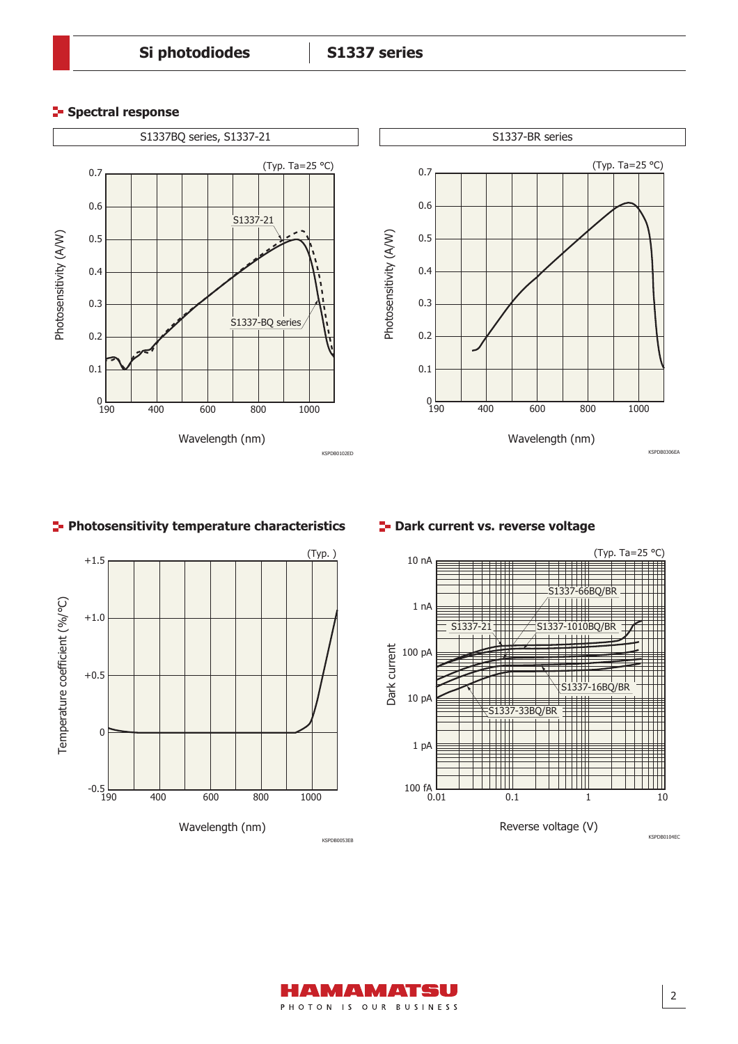### **Spectral response**



#### **Photosensitivity temperature characteristics**



#### **P** Dark current vs. reverse voltage

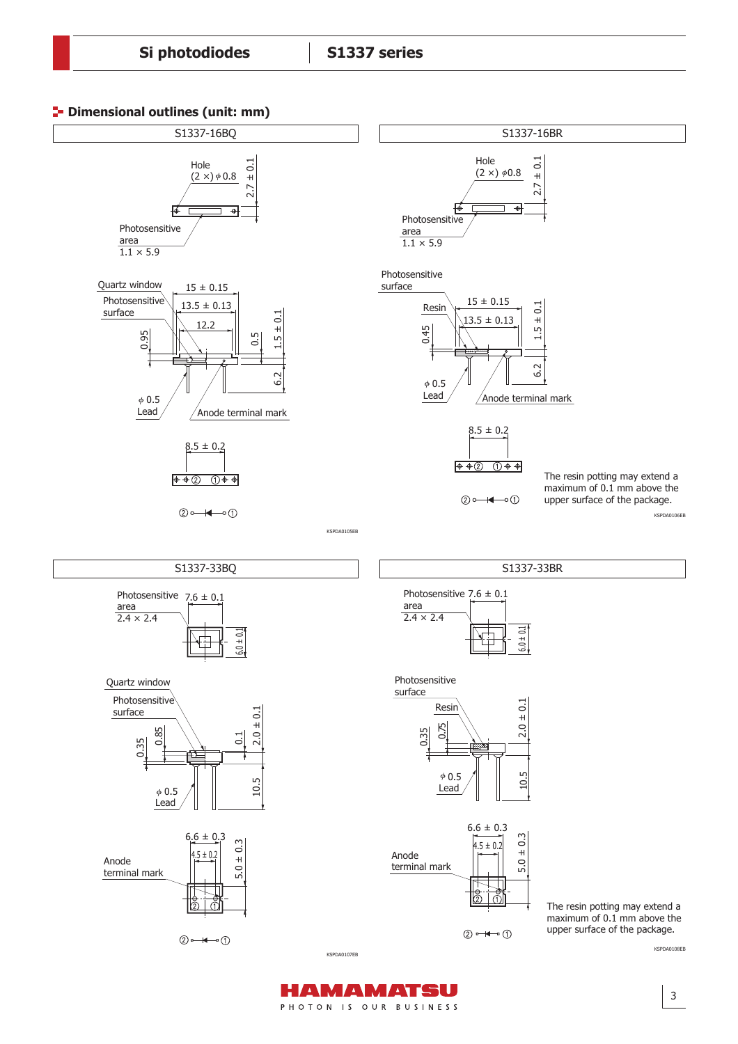**P** Dimensional outlines (unit: mm)





 $(2)$   $\rightarrow$   $(1)$ 

KSPDA0107EB

HAMAMATSU PHOTON IS OUR BUSINESS

 $(2)$   $\rightarrow$   $\rightarrow$   $(1)$ 

Anode terminal mark

> The resin potting may extend a maximum of 0.1 mm above the upper surface of the package.

KSPDA0108EB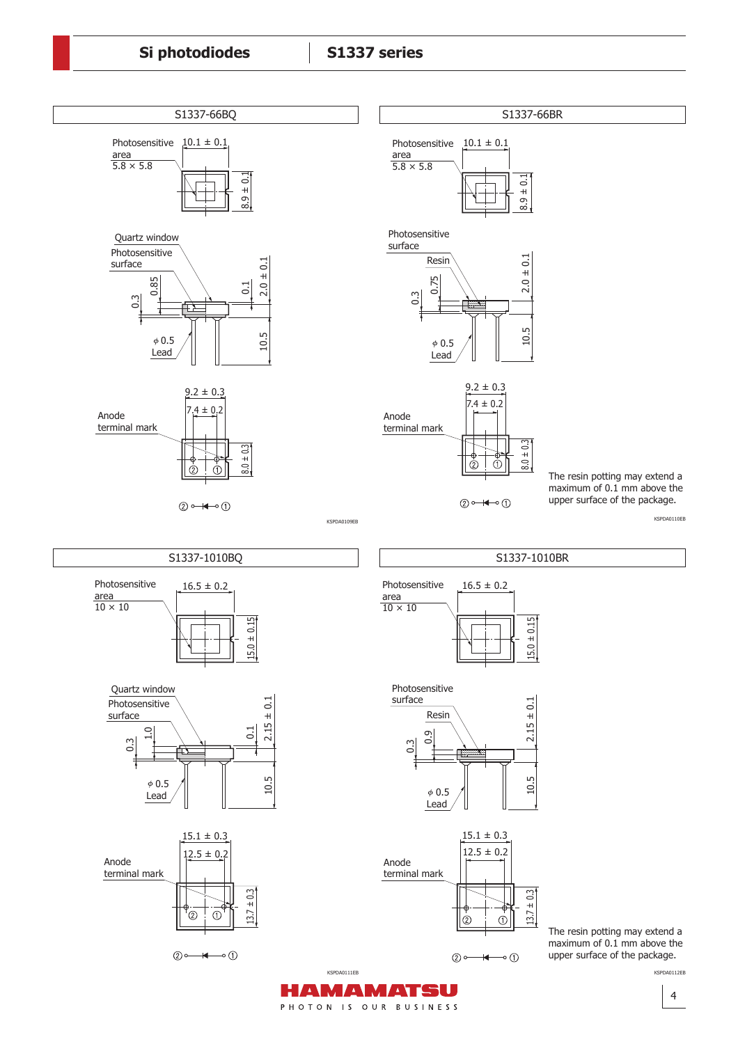

KSPDA0111EB

HAMAMATSU PHOTON IS OUR BUSINESS

 $\textcircled{2}\circ\!\!\!\!-\!\!\!\!-\!\!\!\!-\!\!\!\!-\!\!\!\!-\!\!\circ\oplus$ 

4 KSPDA0112EB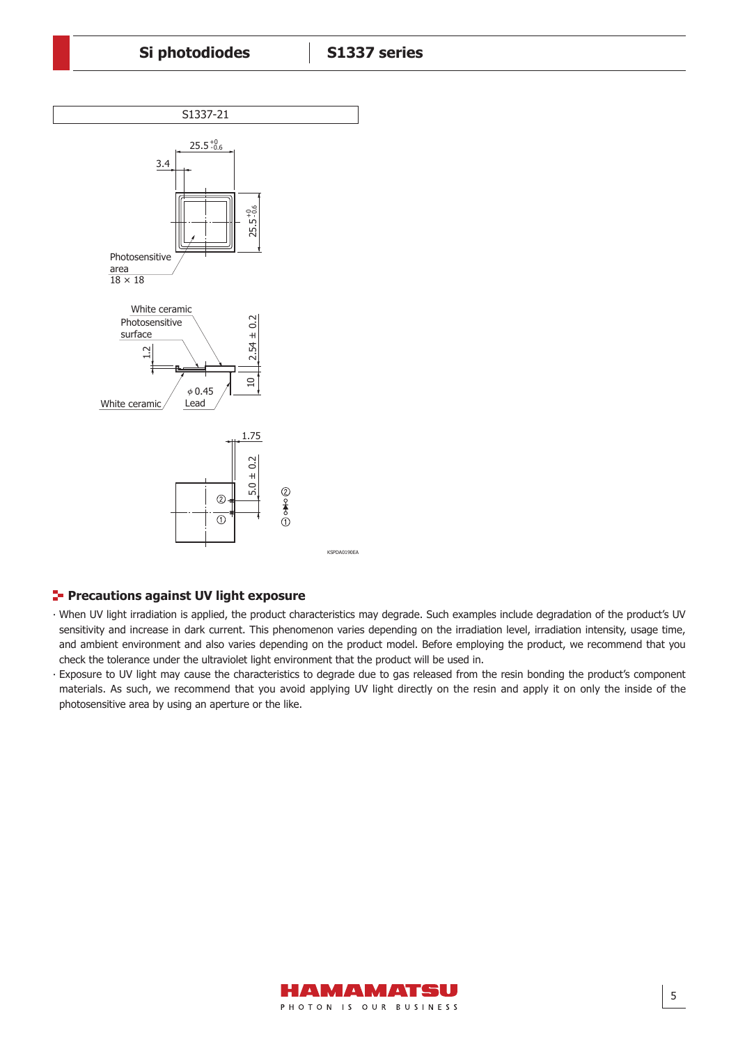

#### **Precautions against UV light exposure**

- ∙ When UV light irradiation is applied, the product characteristics may degrade. Such examples include degradation of the product's UV sensitivity and increase in dark current. This phenomenon varies depending on the irradiation level, irradiation intensity, usage time, and ambient environment and also varies depending on the product model. Before employing the product, we recommend that you check the tolerance under the ultraviolet light environment that the product will be used in.
- ∙ Exposure to UV light may cause the characteristics to degrade due to gas released from the resin bonding the product's component materials. As such, we recommend that you avoid applying UV light directly on the resin and apply it on only the inside of the photosensitive area by using an aperture or the like.